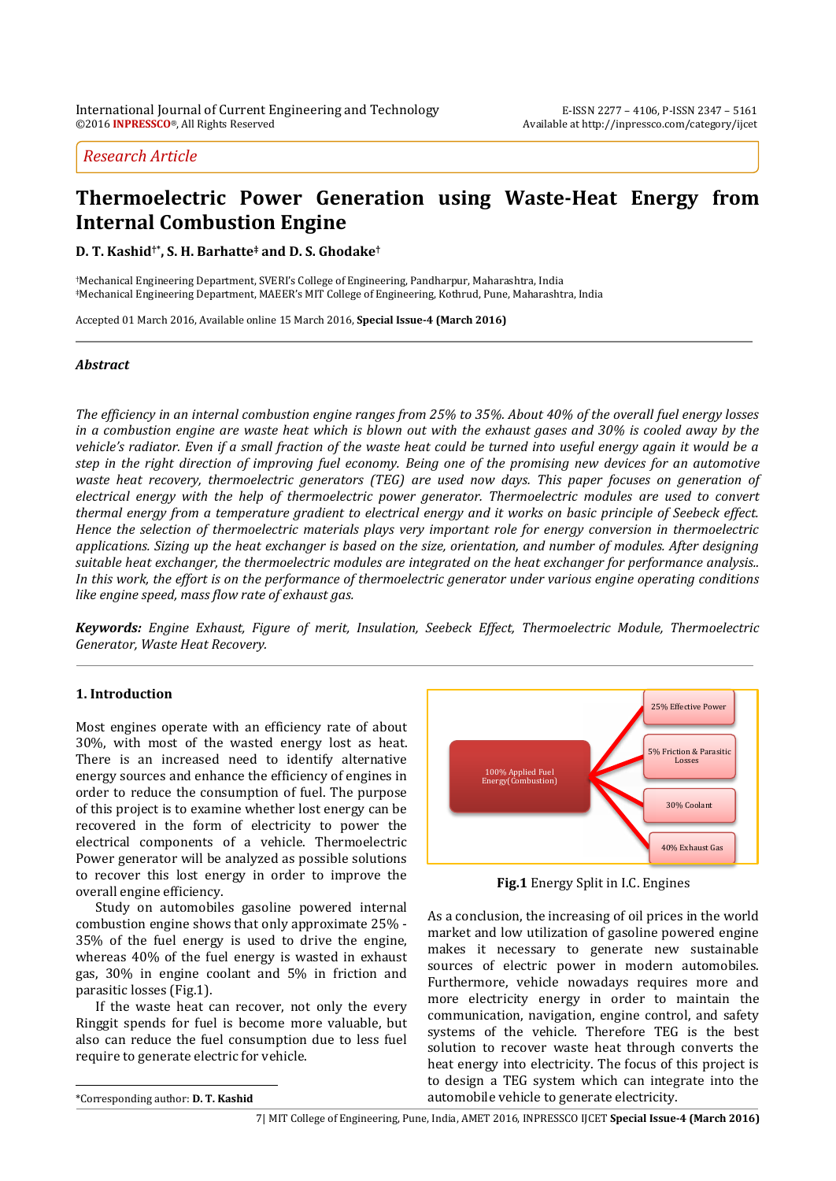# *Research Article*

# **Thermoelectric Power Generation using Waste-Heat Energy from Internal Combustion Engine**

**D. T. Kashid†\* , S. H. Barhatte‡ and D. S. Ghodake†**

†Mechanical Engineering Department, SVERI's College of Engineering, Pandharpur, Maharashtra, India ‡Mechanical Engineering Department, MAEER's MIT College of Engineering, Kothrud, Pune, Maharashtra, India

Accepted 01 March 2016, Available online 15 March 2016, **Special Issue-4 (March 2016)**

## *Abstract*

*The efficiency in an internal combustion engine ranges from 25% to 35%. About 40% of the overall fuel energy losses in a combustion engine are waste heat which is blown out with the exhaust gases and 30% is cooled away by the vehicle's radiator. Even if a small fraction of the waste heat could be turned into useful energy again it would be a step in the right direction of improving fuel economy. Being one of the promising new devices for an automotive waste heat recovery, thermoelectric generators (TEG) are used now days. This paper focuses on generation of electrical energy with the help of thermoelectric power generator. Thermoelectric modules are used to convert thermal energy from a temperature gradient to electrical energy and it works on basic principle of Seebeck effect. Hence the selection of thermoelectric materials plays very important role for energy conversion in thermoelectric applications. Sizing up the heat exchanger is based on the size, orientation, and number of modules. After designing suitable heat exchanger, the thermoelectric modules are integrated on the heat exchanger for performance analysis.. In this work, the effort is on the performance of thermoelectric generator under various engine operating conditions like engine speed, mass flow rate of exhaust gas.* 

*Keywords: Engine Exhaust, Figure of merit, Insulation, Seebeck Effect, Thermoelectric Module, Thermoelectric Generator, Waste Heat Recovery.* 

## **1. Introduction**

Most engines operate with an efficiency rate of about 30%, with most of the wasted energy lost as heat. There is an increased need to identify alternative energy sources and enhance the efficiency of engines in order to reduce the consumption of fuel. The purpose of this project is to examine whether lost energy can be recovered in the form of electricity to power the electrical components of a vehicle. Thermoelectric Power generator will be analyzed as possible solutions to recover this lost energy in order to improve the overall engine efficiency.

 Study on automobiles gasoline powered internal combustion engine shows that only approximate 25% - 35% of the fuel energy is used to drive the engine, whereas 40% of the fuel energy is wasted in exhaust gas, 30% in engine coolant and 5% in friction and parasitic losses (Fig.1).

 If the waste heat can recover, not only the every Ringgit spends for fuel is become more valuable, but also can reduce the fuel consumption due to less fuel require to generate electric for vehicle.



**Fig.1** Energy Split in I.C. Engines

As a conclusion, the increasing of oil prices in the world market and low utilization of gasoline powered engine makes it necessary to generate new sustainable sources of electric power in modern automobiles. Furthermore, vehicle nowadays requires more and more electricity energy in order to maintain the communication, navigation, engine control, and safety systems of the vehicle. Therefore TEG is the best solution to recover waste heat through converts the heat energy into electricity. The focus of this project is to design a TEG system which can integrate into the automobile vehicle to generate electricity.

 $\overline{a}$ 

<sup>\*</sup>Corresponding author: **D. T. Kashid**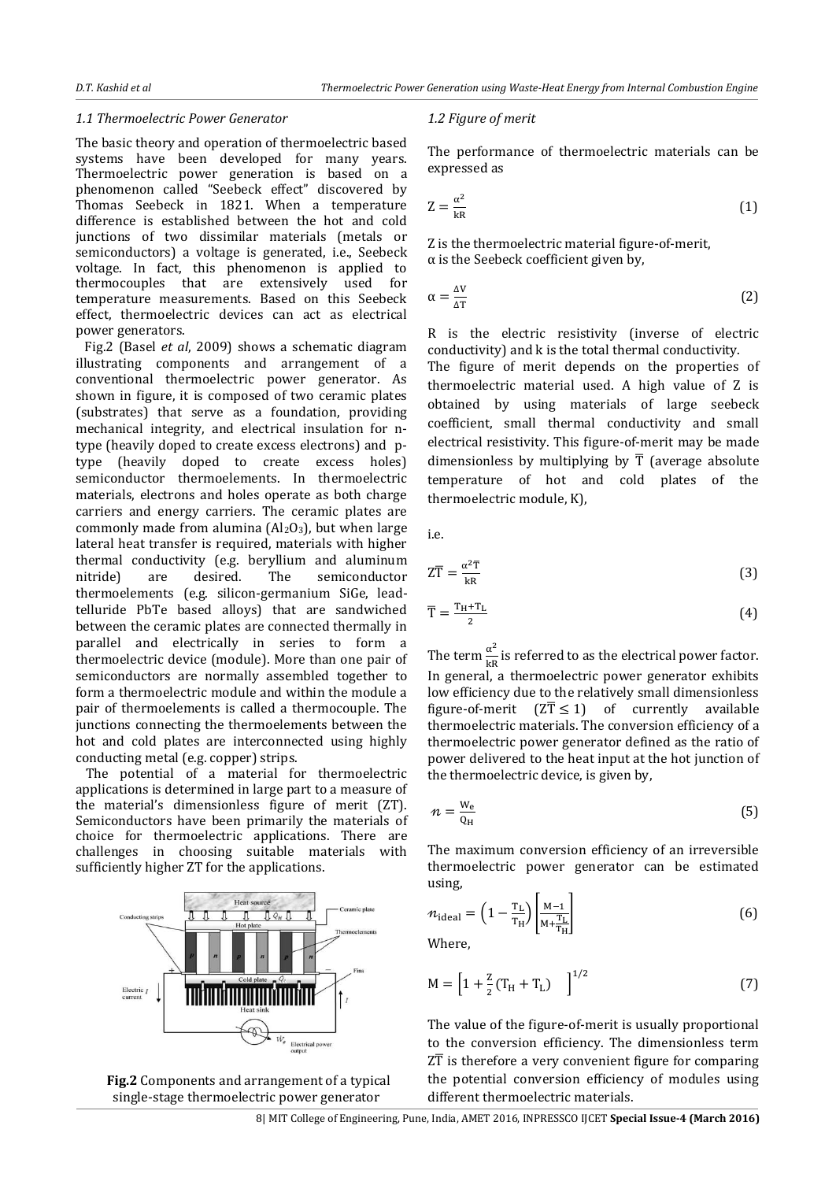#### *1.1 Thermoelectric Power Generator*

The basic theory and operation of thermoelectric based systems have been developed for many years. Thermoelectric power generation is based on a phenomenon called "Seebeck effect" discovered by Thomas Seebeck in 1821. When a temperature difference is established between the hot and cold junctions of two dissimilar materials (metals or semiconductors) a voltage is generated, i.e., Seebeck voltage. In fact, this phenomenon is applied to thermocouples that are extensively used for temperature measurements. Based on this Seebeck effect, thermoelectric devices can act as electrical power generators.

 Fig.2 (Basel *et al*, 2009) shows a schematic diagram illustrating components and arrangement of a conventional thermoelectric power generator. As shown in figure, it is composed of two ceramic plates (substrates) that serve as a foundation, providing mechanical integrity, and electrical insulation for ntype (heavily doped to create excess electrons) and ptype (heavily doped to create excess holes) semiconductor thermoelements. In thermoelectric materials, electrons and holes operate as both charge carriers and energy carriers. The ceramic plates are commonly made from alumina  $(Al_2O_3)$ , but when large lateral heat transfer is required, materials with higher thermal conductivity (e.g. beryllium and aluminum nitride) are desired. The semiconductor thermoelements (e.g. silicon-germanium SiGe, leadtelluride PbTe based alloys) that are sandwiched between the ceramic plates are connected thermally in parallel and electrically in series to form a thermoelectric device (module). More than one pair of semiconductors are normally assembled together to form a thermoelectric module and within the module a pair of thermoelements is called a thermocouple. The junctions connecting the thermoelements between the hot and cold plates are interconnected using highly conducting metal (e.g. copper) strips.

The potential of a material for thermoelectric applications is determined in large part to a measure of the material's dimensionless figure of merit (ZT). Semiconductors have been primarily the materials of choice for thermoelectric applications. There are challenges in choosing suitable materials with sufficiently higher ZT for the applications.





#### *1.2 Figure of merit*

The performance of thermoelectric materials can be expressed as

$$
Z = \frac{\alpha^2}{kR}
$$
 (1)

Z is the thermoelectric material figure-of-merit,  $\alpha$  is the Seebeck coefficient given by,

$$
\alpha = \frac{\Delta V}{\Delta T} \tag{2}
$$

R is the electric resistivity (inverse of electric conductivity) and k is the total thermal conductivity.

The figure of merit depends on the properties of thermoelectric material used. A high value of Z is obtained by using materials of large seebeck coefficient, small thermal conductivity and small electrical resistivity. This figure-of-merit may be made dimensionless by multiplying by  $\overline{T}$  (average absolute temperature of hot and cold plates of the thermoelectric module, K),

i.e.

$$
Z\overline{T} = \frac{\alpha^2 \overline{T}}{kR}
$$
 (3)

$$
\overline{T} = \frac{T_H + T_L}{2} \tag{4}
$$

The term  $\frac{\alpha^2}{\ln n}$  $\frac{a}{kR}$  is referred to as the electrical power factor. In general, a thermoelectric power generator exhibits low efficiency due to the relatively small dimensionless figure-of-merit  $(Z\overline{T} \leq 1)$  of currently available thermoelectric materials. The conversion efficiency of a thermoelectric power generator defined as the ratio of power delivered to the heat input at the hot junction of the thermoelectric device, is given by,

$$
n = \frac{W_e}{Q_H} \tag{5}
$$

The maximum conversion efficiency of an irreversible thermoelectric power generator can be estimated using,

$$
n_{\text{ideal}} = \left(1 - \frac{T_{\text{L}}}{T_{\text{H}}}\right) \left| \frac{M - 1}{M + \frac{T_{\text{L}}}{T_{\text{H}}}} \right| \tag{6}
$$

Where,

$$
M = \left[1 + \frac{z}{2}(T_H + T_L)\right]^{1/2}
$$
 (7)

The value of the figure-of-merit is usually proportional to the conversion efficiency. The dimensionless term  $Z\overline{T}$  is therefore a very convenient figure for comparing the potential conversion efficiency of modules using different thermoelectric materials.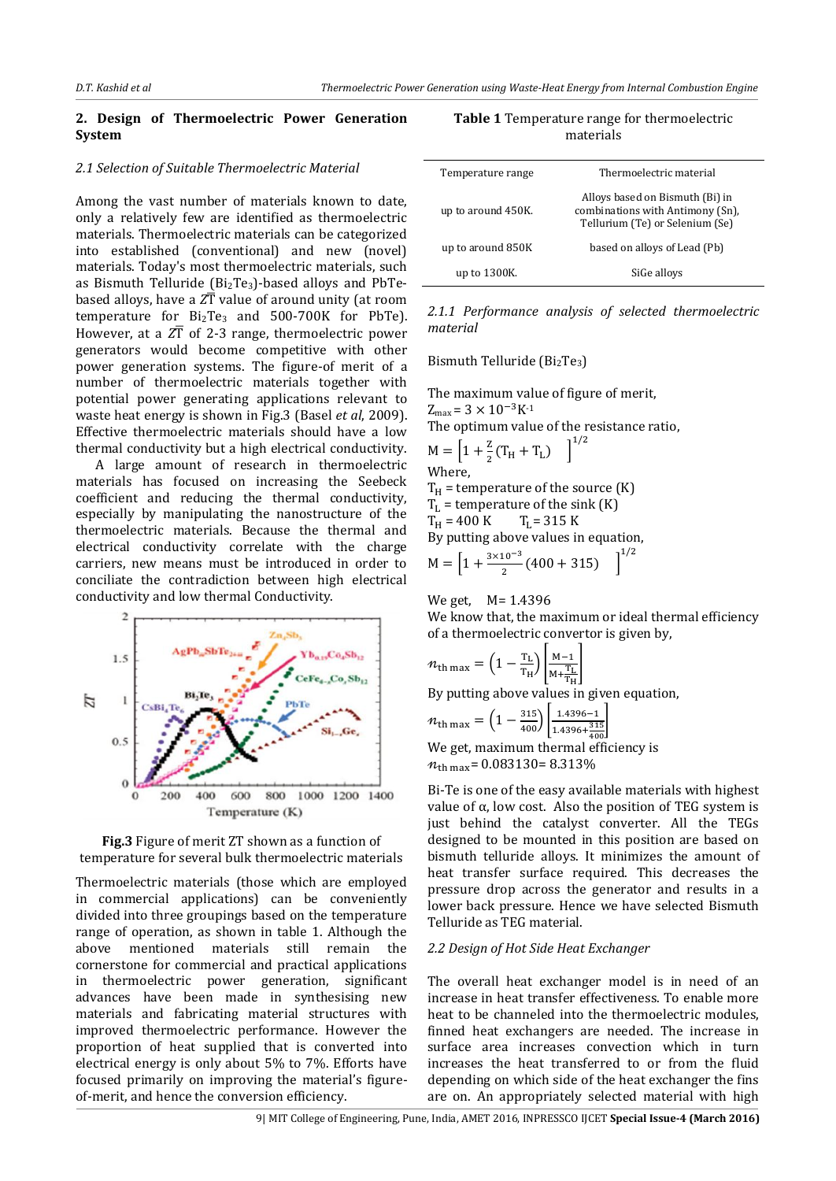## **2. Design of Thermoelectric Power Generation System**

#### *2.1 Selection of Suitable Thermoelectric Material*

Among the vast number of materials known to date, only a relatively few are identified as thermoelectric materials. Thermoelectric materials can be categorized into established (conventional) and new (novel) materials. Today's most thermoelectric materials, such as Bismuth Telluride ( $Bi<sub>2</sub>Te<sub>3</sub>$ )-based alloys and PbTebased alloys, have a  $Z\overline{T}$  value of around unity (at room temperature for  $Bi<sub>2</sub>Te<sub>3</sub>$  and 500-700K for PbTe). However, at a  $Z\overline{T}$  of 2-3 range, thermoelectric power generators would become competitive with other power generation systems. The figure-of merit of a number of thermoelectric materials together with potential power generating applications relevant to waste heat energy is shown in Fig.3 (Basel *et al*, 2009). Effective thermoelectric materials should have a low thermal conductivity but a high electrical conductivity.

 A large amount of research in thermoelectric materials has focused on increasing the Seebeck coefficient and reducing the thermal conductivity, especially by manipulating the nanostructure of the thermoelectric materials. Because the thermal and electrical conductivity correlate with the charge carriers, new means must be introduced in order to conciliate the contradiction between high electrical conductivity and low thermal Conductivity.





Thermoelectric materials (those which are employed in commercial applications) can be conveniently divided into three groupings based on the temperature range of operation, as shown in table 1. Although the above mentioned materials still remain the cornerstone for commercial and practical applications in thermoelectric power generation, significant advances have been made in synthesising new materials and fabricating material structures with improved thermoelectric performance. However the proportion of heat supplied that is converted into electrical energy is only about 5% to 7%. Efforts have focused primarily on improving the material's figureof-merit, and hence the conversion efficiency.

| <b>Table 1</b> Temperature range for thermoelectric<br>materials |                         |  |  |  |
|------------------------------------------------------------------|-------------------------|--|--|--|
| Temperature range                                                | Thermoelectric material |  |  |  |

| up to around 450K. | Alloys based on Bismuth (Bi) in<br>combinations with Antimony (Sn),<br>Tellurium (Te) or Selenium (Se) |
|--------------------|--------------------------------------------------------------------------------------------------------|
| up to around 850K  | based on alloys of Lead (Pb)                                                                           |
| up to 1300K.       | SiGe alloys                                                                                            |

*2.1.1 Performance analysis of selected thermoelectric material* 

Bismuth Telluride (Bi<sub>2</sub>Te<sub>3</sub>)

The maximum value of figure of merit,  $Z_{\text{max}} = 3 \times 10^{-3} K^{-1}$ The optimum value of the resistance ratio,  $M = \left[1 + \frac{z}{2}(T_H + T_L)\right]^1$ Where,  $T_H$  = temperature of the source (K)  $T_L$  = temperature of the sink (K)  $T_H = 400 \text{ K}$   $T_L = 315 \text{ K}$ By putting above values in equation,  $M = \left[1 + \frac{3 \times 10^{-3}}{2} (400 + 315)\right]^{1/2}$ 

We get, M= 1.4396

We know that, the maximum or ideal thermal efficiency of a thermoelectric convertor is given by,

$$
n_{\text{th max}} = \left(1 - \frac{\text{T}_{\text{L}}}{\text{T}_{\text{H}}}\right) \left[\frac{\text{M} - 1}{\text{M} + \frac{\text{T}_{\text{L}}}{\text{T}_{\text{H}}}}\right]
$$

By putting above values in given equation,

$$
n_{\text{th max}} = \left(1 - \frac{315}{400}\right) \left[ \frac{1.4396 - 1}{1.4396 + \frac{315}{400}} \right]
$$

We get, maximum thermal efficiency is  $n_{\text{th max}}$  = 0.083130 = 8.313%

Bi-Te is one of the easy available materials with highest value of α, low cost. Also the position of TEG system is just behind the catalyst converter. All the TEGs designed to be mounted in this position are based on bismuth telluride alloys. It minimizes the amount of heat transfer surface required. This decreases the pressure drop across the generator and results in a lower back pressure. Hence we have selected Bismuth Telluride as TEG material.

#### *2.2 Design of Hot Side Heat Exchanger*

The overall heat exchanger model is in need of an increase in heat transfer effectiveness. To enable more heat to be channeled into the thermoelectric modules, finned heat exchangers are needed. The increase in surface area increases convection which in turn increases the heat transferred to or from the fluid depending on which side of the heat exchanger the fins are on. An appropriately selected material with high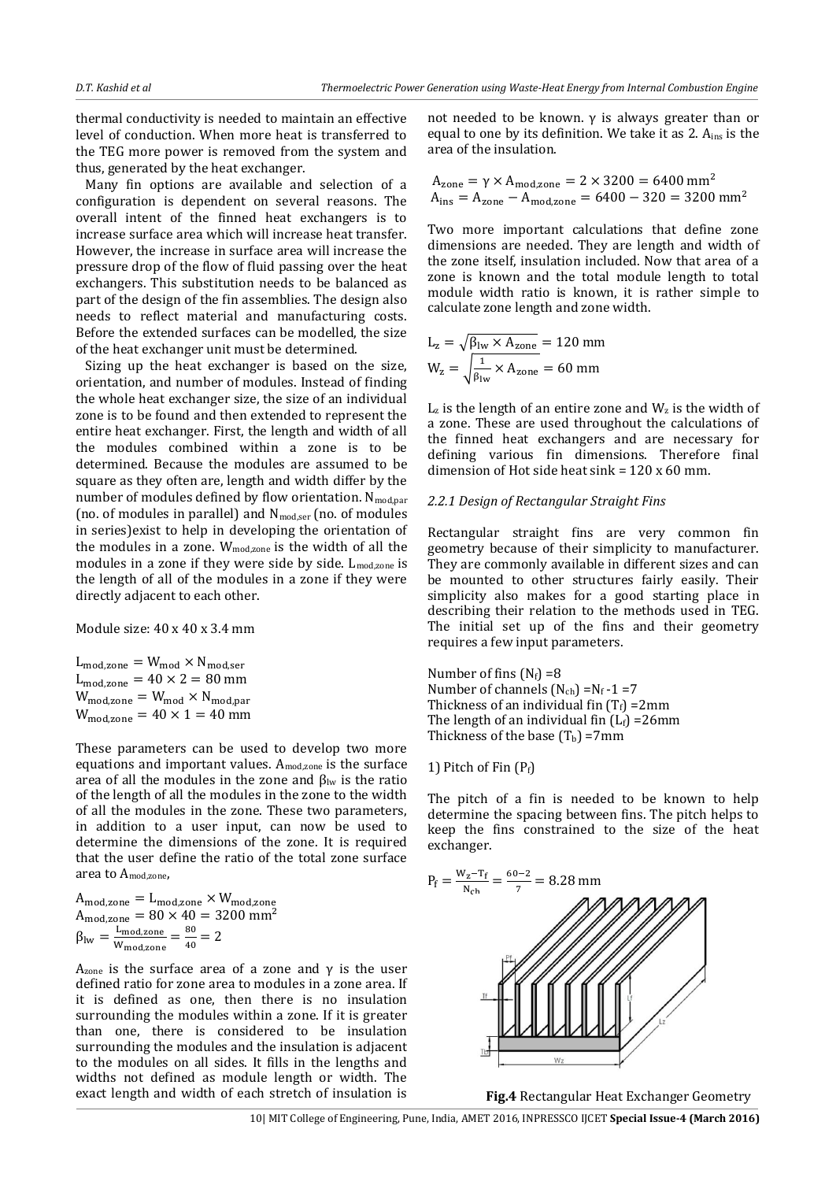thermal conductivity is needed to maintain an effective level of conduction. When more heat is transferred to the TEG more power is removed from the system and thus, generated by the heat exchanger.

Many fin options are available and selection of a configuration is dependent on several reasons. The overall intent of the finned heat exchangers is to increase surface area which will increase heat transfer. However, the increase in surface area will increase the pressure drop of the flow of fluid passing over the heat exchangers. This substitution needs to be balanced as part of the design of the fin assemblies. The design also needs to reflect material and manufacturing costs. Before the extended surfaces can be modelled, the size of the heat exchanger unit must be determined.

Sizing up the heat exchanger is based on the size, orientation, and number of modules. Instead of finding the whole heat exchanger size, the size of an individual zone is to be found and then extended to represent the entire heat exchanger. First, the length and width of all the modules combined within a zone is to be determined. Because the modules are assumed to be square as they often are, length and width differ by the number of modules defined by flow orientation.  $N_{mod,par}$ (no. of modules in parallel) and  $N_{\text{mod,ser}}$  (no. of modules in series)exist to help in developing the orientation of the modules in a zone.  $W_{\text{modzone}}$  is the width of all the modules in a zone if they were side by side. L<sub>mod,zone</sub> is the length of all of the modules in a zone if they were directly adjacent to each other.

Module size: 40 x 40 x 3.4 mm

 $L_{\text{mod}, \text{zone}} = W_{\text{mod}} \times N_{\text{mod}, \text{ser}}$  $L_{\text{mod,zone}} = 40 \times 2 = 80 \text{ mm}$  $W_{\text{mod}, \text{zone}} = W_{\text{mod}} \times N_{\text{mod}, \text{par}}$  $W_{\text{mod}, \text{zone}} = 40 \times 1 = 40 \text{ mm}$ 

These parameters can be used to develop two more equations and important values.  $A_{\text{modzone}}$  is the surface area of all the modules in the zone and  $β_{lw}$  is the ratio of the length of all the modules in the zone to the width of all the modules in the zone. These two parameters, in addition to a user input, can now be used to determine the dimensions of the zone. It is required that the user define the ratio of the total zone surface area to  $A_{\text{mod zone}}$ 

A  $A_{\text{mod,zone}} = 80 \times 40 = 3200 \text{ mm}^2$  $\beta_{\text{lw}} = \frac{L}{W}$  $\frac{\text{L}_{\text{mod},\text{zone}}}{\text{W}_{\text{mod},\text{zone}}} = \frac{8}{4}$  $\frac{1}{40}$  =

 $A<sub>zone</sub>$  is the surface area of a zone and γ is the user defined ratio for zone area to modules in a zone area. If it is defined as one, then there is no insulation surrounding the modules within a zone. If it is greater than one, there is considered to be insulation surrounding the modules and the insulation is adjacent to the modules on all sides. It fills in the lengths and widths not defined as module length or width. The exact length and width of each stretch of insulation is not needed to be known.  $γ$  is always greater than or equal to one by its definition. We take it as 2.  $A_{ins}$  is the area of the insulation.

$$
A_{\text{zone}} = \gamma \times A_{\text{mod,zone}} = 2 \times 3200 = 6400 \text{ mm}^2
$$
  

$$
A_{\text{ins}} = A_{\text{zone}} - A_{\text{mod,zone}} = 6400 - 320 = 3200 \text{ mm}^2
$$

Two more important calculations that define zone dimensions are needed. They are length and width of the zone itself, insulation included. Now that area of a zone is known and the total module length to total module width ratio is known, it is rather simple to calculate zone length and zone width.

$$
L_z = \sqrt{\beta_{\text{lw}} \times A_{\text{zone}}}
$$
 = 120 mm  

$$
W_z = \sqrt{\frac{1}{\beta_{\text{lw}}} \times A_{\text{zone}}}
$$
 = 60 mm

 $L<sub>z</sub>$  is the length of an entire zone and  $W<sub>z</sub>$  is the width of a zone. These are used throughout the calculations of the finned heat exchangers and are necessary for defining various fin dimensions. Therefore final dimension of Hot side heat sink  $= 120 \times 60$  mm.

#### *2.2.1 Design of Rectangular Straight Fins*

Rectangular straight fins are very common fin geometry because of their simplicity to manufacturer. They are commonly available in different sizes and can be mounted to other structures fairly easily. Their simplicity also makes for a good starting place in describing their relation to the methods used in TEG. The initial set up of the fins and their geometry requires a few input parameters.

Number of fins  $(N_f) = 8$ Number of channels  $(N_{ch}) = N_f - 1 = 7$ Thickness of an individual fin  $(T_f)$  =2mm The length of an individual fin  $(L_f)$  =26mm Thickness of the base  $(T_b)$  =7mm

#### 1) Pitch of Fin  $(P_f)$

The pitch of a fin is needed to be known to help determine the spacing between fins. The pitch helps to keep the fins constrained to the size of the heat exchanger.



**Fig.4** Rectangular Heat Exchanger Geometry

10| MIT College of Engineering, Pune, India, AMET 2016, INPRESSCO IJCET **Special Issue-4 (March 2016)**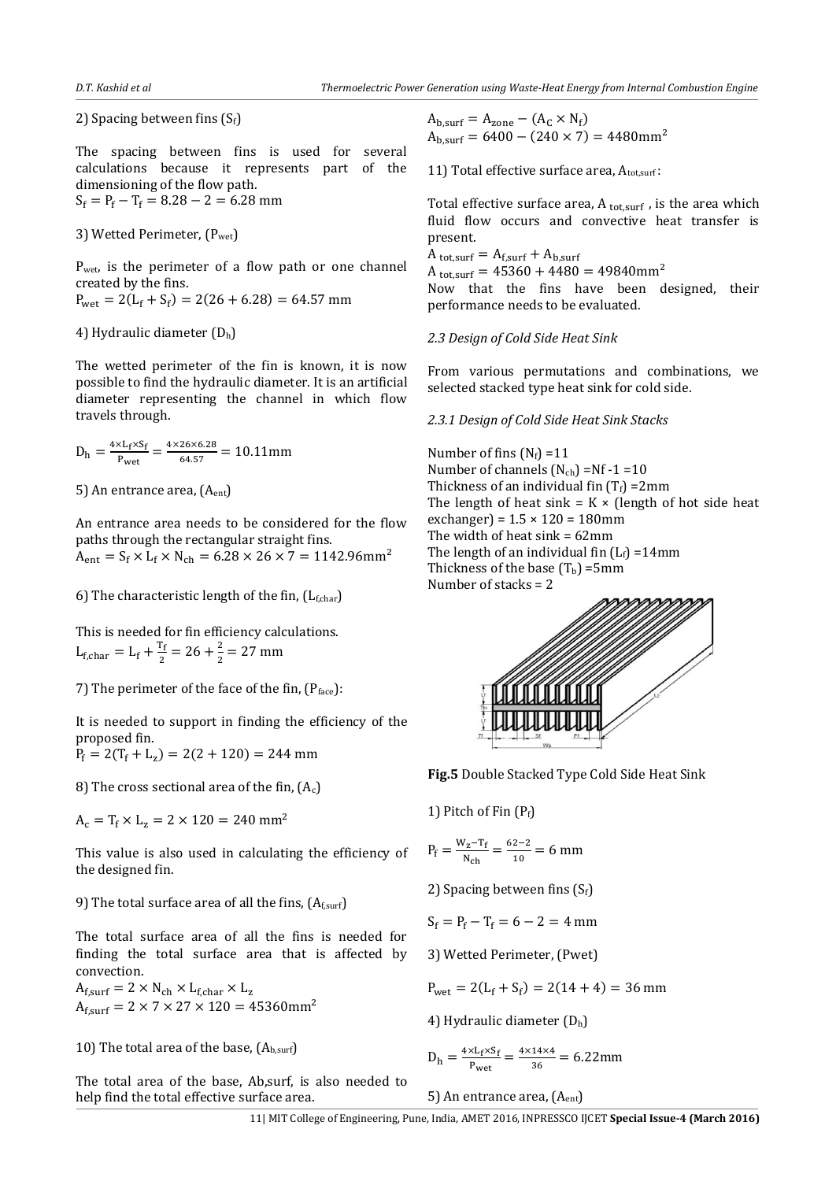2) Spacing between fins (Sf)

The spacing between fins is used for several calculations because it represents part of the dimensioning of the flow path.  $S_f = P_f - T_f = 8.28 - 2 = 6.28$  mm

3) Wetted Perimeter, (Pwet)

 $P_{wet}$  is the perimeter of a flow path or one channel created by the fins.  $P_{\text{wet}} = Z(L_f + S_f)$ 

4) Hydraulic diameter  $(D_h)$ 

The wetted perimeter of the fin is known, it is now possible to find the hydraulic diameter. It is an artificial diameter representing the channel in which flow travels through.

 $D_h = \frac{4}{3}$  $\frac{XL_f X S_f}{P_{wet}} = \frac{4}{5}$  $\frac{64.57}{ }$  =

5) An entrance area, (Aent)

An entrance area needs to be considered for the flow paths through the rectangular straight fins.  $A_{ent} = S_f \times L_f \times N_{ch} = 6.28 \times 26 \times 7 = 1142.96$ mm<sup>2</sup>

6) The characteristic length of the fin,  $(L_{f, char})$ 

This is needed for fin efficiency calculations.  $L_{f, char} = L_f + \frac{T}{2}$  $\frac{1}{2}$  = 26 +  $\frac{2}{2}$  $\frac{1}{2}$  =

7) The perimeter of the face of the fin,  $(P_{face})$ :

It is needed to support in finding the efficiency of the proposed fin.

 $P_f = 2(T_f + L_z)$ 

8) The cross sectional area of the fin,  $(A_c)$ 

 $A_c = T_f \times L_z = 2 \times 120 = 240$  mm<sup>2</sup>

This value is also used in calculating the efficiency of the designed fin.

9) The total surface area of all the fins,  $(A<sub>f,surf</sub>)$ 

The total surface area of all the fins is needed for finding the total surface area that is affected by convection.

 $A_{f,surf} = 2 \times N_{ch} \times L_{f,char} \times L_z$  $A_{f,surf} = 2 \times 7 \times 27 \times 120 = 45360$ mm<sup>2</sup>

10) The total area of the base,  $(A_{b,surf})$ 

The total area of the base, Ab,surf, is also needed to help find the total effective surface area.

 $A_{b,surf} = A_{zone} - (A_C \times N_f)$  $A<sub>b</sub>_{surf} = 6400 - (240 \times 7) = 4480$ mm<sup>2</sup>

11) Total effective surface area,  $A_{\text{tot,surf}}$ :

Total effective surface area,  $A_{tot, surf}$ , is the area which fluid flow occurs and convective heat transfer is present.

 $A_{\text{tot}} = A_{\text{f.surf}} + A_{\text{b.surf}}$  $A_{\text{tot,surf}} = 45360 + 4480 = 49840$ mm<sup>2</sup> Now that the fins have been designed, their performance needs to be evaluated.

*2.3 Design of Cold Side Heat Sink* 

From various permutations and combinations, we selected stacked type heat sink for cold side.

*2.3.1 Design of Cold Side Heat Sink Stacks* 

Number of fins  $(N_f) = 11$ Number of channels  $(N_{ch}) = Nf - 1 = 10$ Thickness of an individual fin  $(T_f)$  =2mm The length of heat sink =  $K \times$  (length of hot side heat exchanger) =  $1.5 \times 120 = 180$ mm The width of heat  $sink = 62$ mm The length of an individual fin  $(L_f) = 14$ mm Thickness of the base  $(T_b)$  =5mm Number of stacks = 2



**Fig.5** Double Stacked Type Cold Side Heat Sink

1) Pitch of Fin  $(P_f)$ 

$$
P_f = \frac{W_z - T_f}{N_{ch}} = \frac{62 - 2}{10} = 6 \text{ mm}
$$

2) Spacing between fins  $(S_f)$ 

 $S_f = P_f - T_f = 6 - 2 = 4$  mm

3) Wetted Perimeter, (Pwet)

 $P_{\text{wet}} = 2(L_f + S_f)$ 

4) Hydraulic diameter (Dh)

$$
D_h = \frac{4 \times L_f \times S_f}{P_{wet}} = \frac{4 \times 14 \times 4}{36} = 6.22 \text{mm}
$$

5) An entrance area, (Aent)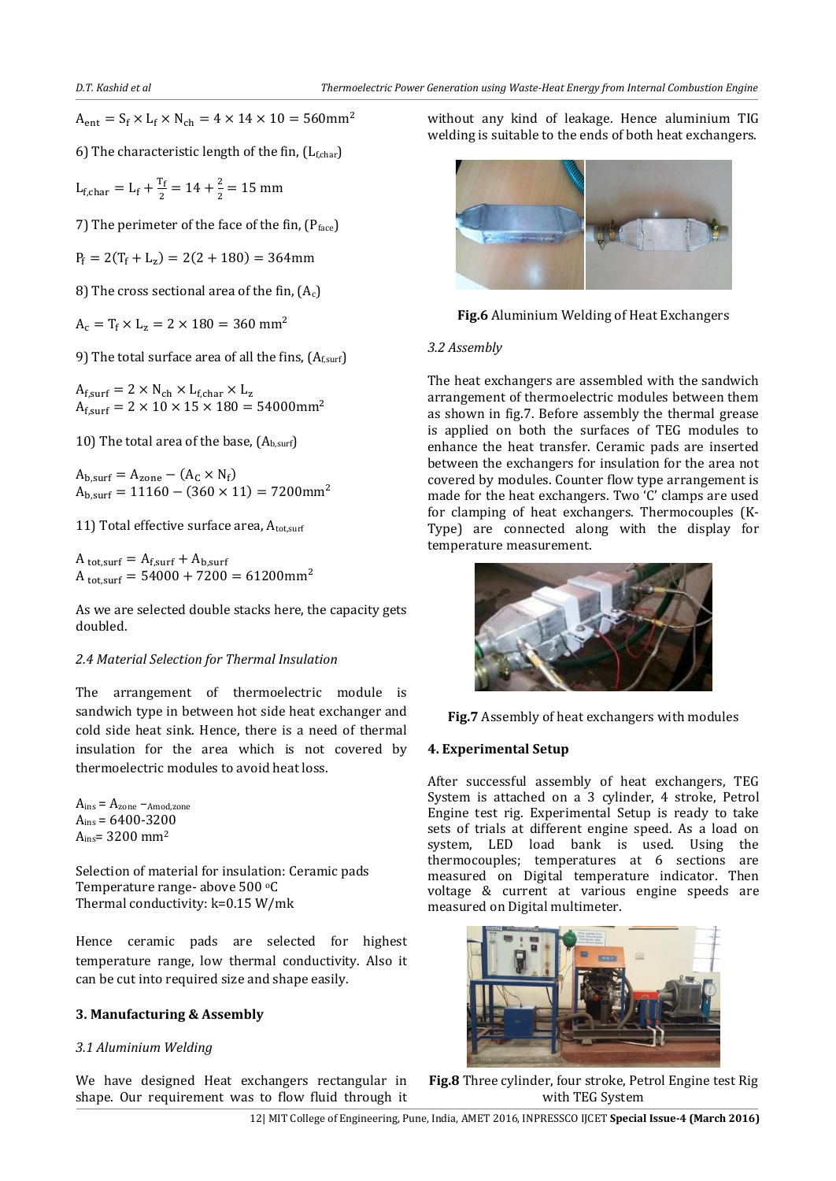$A_{ent} = S_f \times L_f \times N_{ch} = 4 \times 14 \times 10 = 560$ mm<sup>2</sup>

6) The characteristic length of the fin,  $(L_{f, char})$ 

 $L_{f, char} = L_f + \frac{T}{2}$  $\frac{11}{2}$  = 14 +  $\frac{2}{2}$  $\frac{1}{2}$  =

7) The perimeter of the face of the fin,  $(P_{face})$ 

 $P_f = 2(T_f + L_z)$ 

8) The cross sectional area of the fin,  $(A_c)$ 

 $A_c = T_f \times L_z = 2 \times 180 = 360$  mm<sup>2</sup>

9) The total surface area of all the fins,  $(A<sub>f,surf</sub>)$ 

 $A_{f,surf} = 2 \times N_{ch} \times L_{f,char} \times L_z$  $A_{f,surf} = 2 \times 10 \times 15 \times 180 = 54000$ mm<sup>2</sup>

10) The total area of the base,  $(A_{b,surf})$ 

 $A_{b,surf} = A_{zone} - (A_C \times N_f)$  $A<sub>b</sub>_{surf} = 11160 - (360 \times 11) = 7200$ mm<sup>2</sup>

11) Total effective surface area,  $A_{\text{tot,surf}}$ 

 $A_{\text{tot,surf}} = A_{\text{f,surf}} + A_{\text{b,surf}}$  $A_{\text{tot,surf}} = 54000 + 7200 = 61200 \text{mm}^2$ 

As we are selected double stacks here, the capacity gets doubled.

## *2.4 Material Selection for Thermal Insulation*

The arrangement of thermoelectric module is sandwich type in between hot side heat exchanger and cold side heat sink. Hence, there is a need of thermal insulation for the area which is not covered by thermoelectric modules to avoid heat loss.

 $A_{ins} = A_{zone} - A$ mod,zone  $A_{ins} = 6400 - 3200$ Ains= 3200 mm<sup>2</sup>

Selection of material for insulation: Ceramic pads Temperature range- above 500 °C Thermal conductivity: k=0.15 W/mk

Hence ceramic pads are selected for highest temperature range, low thermal conductivity. Also it can be cut into required size and shape easily.

## **3. Manufacturing & Assembly**

## *3.1 Aluminium Welding*

We have designed Heat exchangers rectangular in shape. Our requirement was to flow fluid through it without any kind of leakage. Hence aluminium TIG welding is suitable to the ends of both heat exchangers.



**Fig.6** Aluminium Welding of Heat Exchangers

## *3.2 Assembly*

The heat exchangers are assembled with the sandwich arrangement of thermoelectric modules between them as shown in fig.7. Before assembly the thermal grease is applied on both the surfaces of TEG modules to enhance the heat transfer. Ceramic pads are inserted between the exchangers for insulation for the area not covered by modules. Counter flow type arrangement is made for the heat exchangers. Two 'C' clamps are used for clamping of heat exchangers. Thermocouples (K-Type) are connected along with the display for temperature measurement.





## **4. Experimental Setup**

After successful assembly of heat exchangers, TEG System is attached on a 3 cylinder, 4 stroke, Petrol Engine test rig. Experimental Setup is ready to take sets of trials at different engine speed. As a load on system, LED load bank is used. Using the thermocouples; temperatures at 6 sections are measured on Digital temperature indicator. Then voltage & current at various engine speeds are measured on Digital multimeter.



**Fig.8** Three cylinder, four stroke, Petrol Engine test Rig with TEG System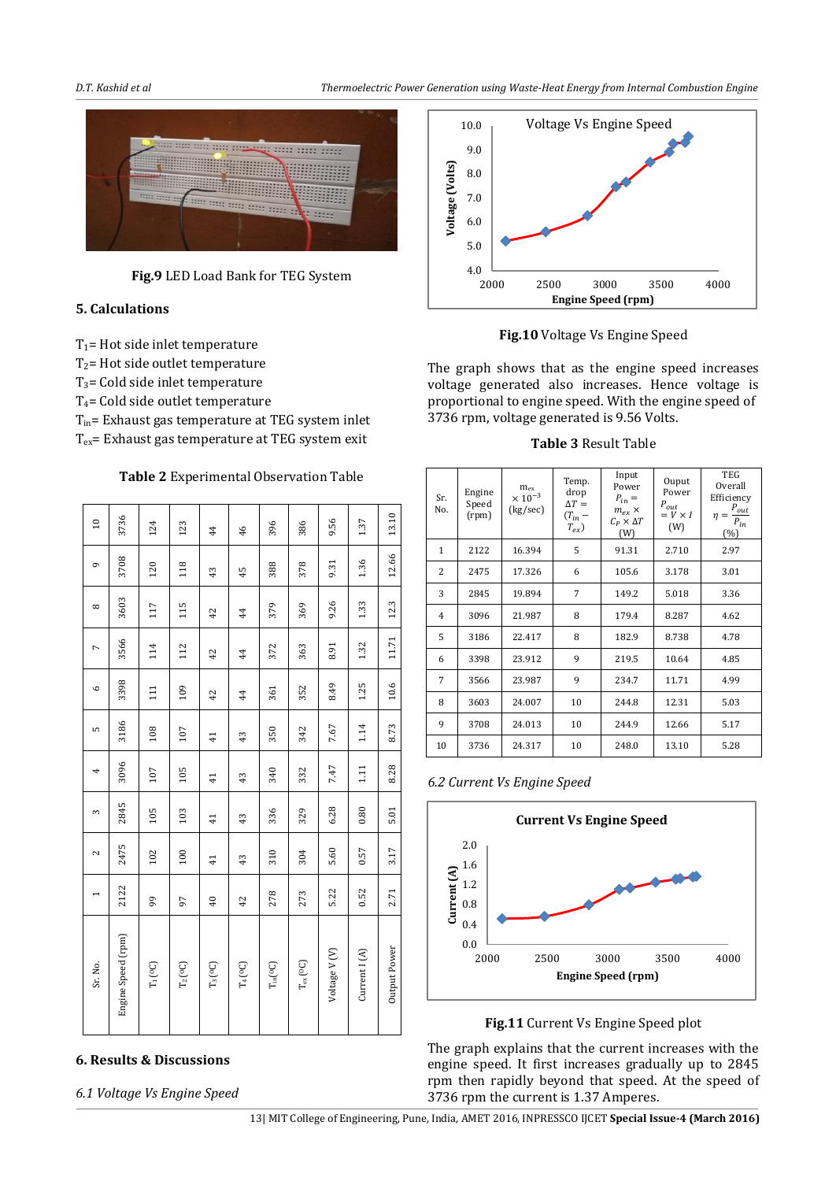*D.T. Kashid et al Thermoelectric Power Generation using Waste-Heat Energy from Internal Combustion Engine* 



**Fig.9** LED Load Bank for TEG System

# **5. Calculations**

 $T_1$ = Hot side inlet temperature

 $T_2$ = Hot side outlet temperature

 $T_3$ = Cold side inlet temperature

T4= Cold side outlet temperature

Tin= Exhaust gas temperature at TEG system inlet Tex= Exhaust gas temperature at TEG system exit

**Table 2** Experimental Observation Table

| Sr. No.                   | 1    | $\sim$          | $\infty$      | 4               | LO.             | $\circ$        | Γ     | $^{\circ}$     | Ō     | $\overline{10}$ |
|---------------------------|------|-----------------|---------------|-----------------|-----------------|----------------|-------|----------------|-------|-----------------|
| Engine Speed (rpm)        | 2122 | 2475            | 2845          | 3096            | 3186            | 3398           | 3566  | 3603           | 3708  | 3736            |
| $\rm T_1({}^oC)$          | 99   | 102             | 105           | 107             | 108             | 111            | 114   | 117            | 120   | 124             |
| $\rm T_2({}^{o}\rm C)$    | 97   | 100             | 103           | 105             | 107             | 109            | 112   | 115            | 118   | 123             |
| $T_3(^{0}C)$              | 40   | $\overline{41}$ | $\frac{1}{4}$ | $\overline{41}$ | $\overline{41}$ | 42             | 42    | 42             | 43    | 44              |
| $\rm T_4(^{o}C)$          | 42   | 43              | 43            | 43              | 43              | $\overline{4}$ | 44    | $\overline{4}$ | 45    | 46              |
| $T_{\rm in} [\rm ^{o}C]$  | 278  | 310             | 336           | 340             | 350             | 361            | 372   | 379            | 388   | 396             |
| $T_{\rm ex}({}^{0}\rm C)$ | 273  | 304             | 329           | 332             | 342             | 352            | 363   | 369            | 378   | 386             |
| Voltage V <sub>(V)</sub>  | 5.22 | 5.60            | 6.28          | 7.47            | 7.67            | 8.49           | 8.91  | 9.26           | 9.31  | 9.56            |
| Current I (A)             | 0.52 | 0.57            | 0.80          | 111             | 1.14            | 1.25           | 1.32  | 1.33           | 1.36  | 1.37            |
| Output Power              | 2.71 | 3.17            | 5.01          | 8.28            | 8.73            | 10.6           | 11.71 | 12.3           | 12.66 | 13.10           |

# **6. Results & Discussions**

*6.1 Voltage Vs Engine Speed* 



**Fig.10** Voltage Vs Engine Speed

The graph shows that as the engine speed increases voltage generated also increases. Hence voltage is proportional to engine speed. With the engine speed of 3736 rpm, voltage generated is 9.56 Volts.

**Table 3** Result Table

| Sr.<br>No.     | Engine<br>Speed<br>(rpm) | $m_{ex}$<br>$\times$ 10 <sup>-3</sup><br>(kg/sec) | Temp.<br>drop<br>$\Delta T =$<br>$(T_{in}$ –<br>$T_{ex}$ ) | Input<br>Power<br>$P_{in} =$<br>$m_{ex}$ $\times$<br>$C_P \times \Delta T$<br>(W) | Ouput<br>Power<br>$P_{out}$<br>$= V \times I$<br>(W) | <b>TEG</b><br>Overall<br>Efficiency<br>$P_{out}$<br>η<br>$=$<br>${\cal P}_{in}$<br>(%) |
|----------------|--------------------------|---------------------------------------------------|------------------------------------------------------------|-----------------------------------------------------------------------------------|------------------------------------------------------|----------------------------------------------------------------------------------------|
| 1              | 2122                     | 16.394                                            | 5                                                          | 91.31                                                                             | 2.710                                                | 2.97                                                                                   |
| 2              | 2475                     | 17.326                                            | 6                                                          | 105.6                                                                             | 3.178                                                | 3.01                                                                                   |
| 3              | 2845                     | 19.894                                            | 7                                                          | 149.2                                                                             | 5.018                                                | 3.36                                                                                   |
| $\overline{4}$ | 3096                     | 21.987                                            | 8                                                          | 179.4                                                                             | 8.287                                                | 4.62                                                                                   |
| 5              | 3186                     | 22.417                                            | 8                                                          | 182.9                                                                             | 8.738                                                | 4.78                                                                                   |
| 6              | 3398                     | 23.912                                            | 9                                                          | 219.5                                                                             | 10.64                                                | 4.85                                                                                   |
| 7              | 3566                     | 23.987                                            | 9                                                          | 234.7                                                                             | 11.71                                                | 4.99                                                                                   |
| 8              | 3603                     | 24.007                                            | 10                                                         | 244.8                                                                             | 12.31                                                | 5.03                                                                                   |
| 9              | 3708                     | 24.013                                            | 10                                                         | 244.9                                                                             | 12.66                                                | 5.17                                                                                   |
| 10             | 3736                     | 24.317                                            | 10                                                         | 248.0                                                                             | 13.10                                                | 5.28                                                                                   |

*6.2 Current Vs Engine Speed* 



**Fig.11** Current Vs Engine Speed plot

The graph explains that the current increases with the engine speed. It first increases gradually up to 2845 rpm then rapidly beyond that speed. At the speed of 3736 rpm the current is 1.37 Amperes.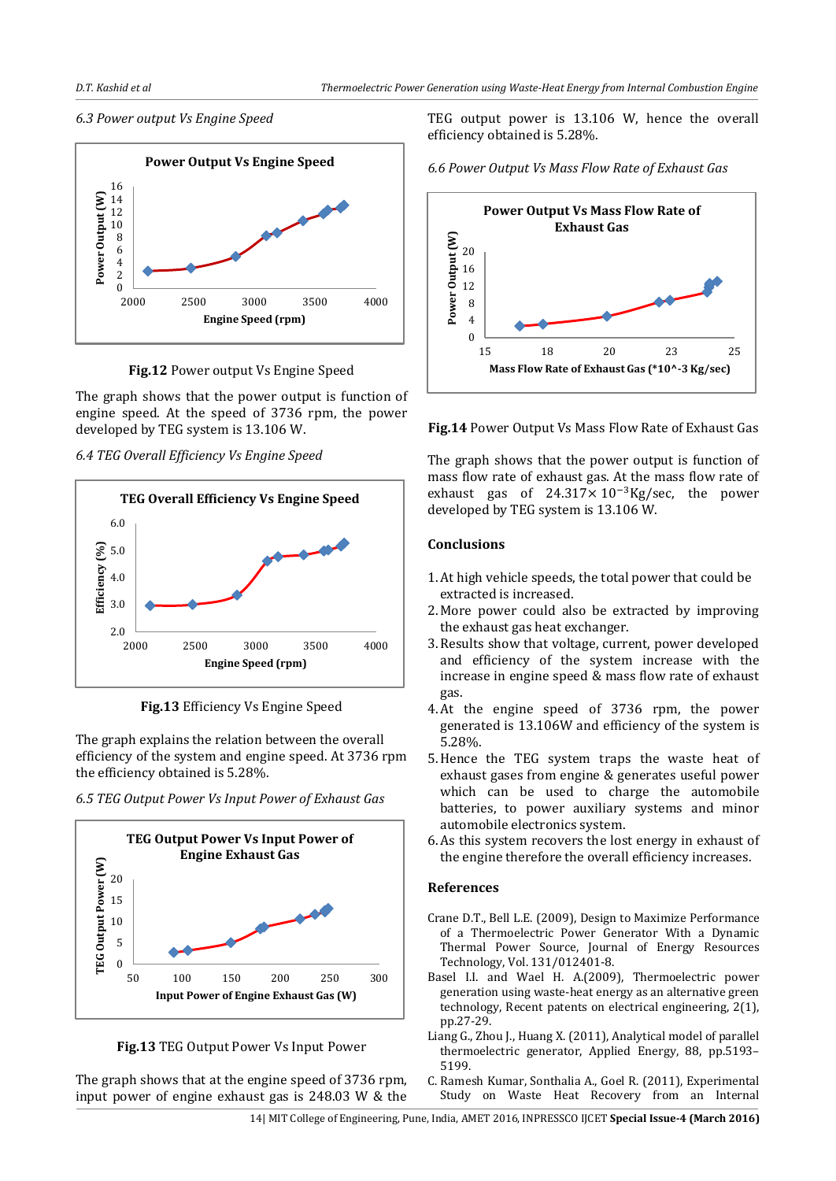## *6.3 Power output Vs Engine Speed*



**Fig.12** Power output Vs Engine Speed

The graph shows that the power output is function of engine speed. At the speed of 3736 rpm, the power developed by TEG system is 13.106 W.

*6.4 TEG Overall Efficiency Vs Engine Speed* 



**Fig.13** Efficiency Vs Engine Speed

The graph explains the relation between the overall efficiency of the system and engine speed. At 3736 rpm the efficiency obtained is 5.28%.

*6.5 TEG Output Power Vs Input Power of Exhaust Gas* 





The graph shows that at the engine speed of 3736 rpm, input power of engine exhaust gas is 248.03 W & the TEG output power is 13.106 W, hence the overall efficiency obtained is 5.28%.





**Fig.14** Power Output Vs Mass Flow Rate of Exhaust Gas

The graph shows that the power output is function of mass flow rate of exhaust gas. At the mass flow rate of exhaust gas of  $24.317 \times 10^{-3}$ Kg/sec, the power developed by TEG system is 13.106 W.

# **Conclusions**

- 1.At high vehicle speeds, the total power that could be extracted is increased.
- 2. More power could also be extracted by improving the exhaust gas heat exchanger.
- 3.Results show that voltage, current, power developed and efficiency of the system increase with the increase in engine speed & mass flow rate of exhaust gas.
- 4.At the engine speed of 3736 rpm, the power generated is 13.106W and efficiency of the system is 5.28%.
- 5.Hence the TEG system traps the waste heat of exhaust gases from engine & generates useful power which can be used to charge the automobile batteries, to power auxiliary systems and minor automobile electronics system.
- 6.As this system recovers the lost energy in exhaust of the engine therefore the overall efficiency increases.

## **References**

- Crane D.T., Bell L.E. (2009), Design to Maximize Performance of a Thermoelectric Power Generator With a Dynamic Thermal Power Source, Journal of Energy Resources Technology, Vol. 131/012401-8.
- Basel I.I. and Wael H. A.(2009), Thermoelectric power generation using waste-heat energy as an alternative green technology, Recent patents on electrical engineering, 2(1), pp.27-29.
- Liang G., Zhou J., Huang X. (2011), Analytical model of parallel thermoelectric generator, Applied Energy, 88, pp.5193– 5199.
- C. Ramesh Kumar, Sonthalia A., Goel R. (2011), Experimental Study on Waste Heat Recovery from an Internal